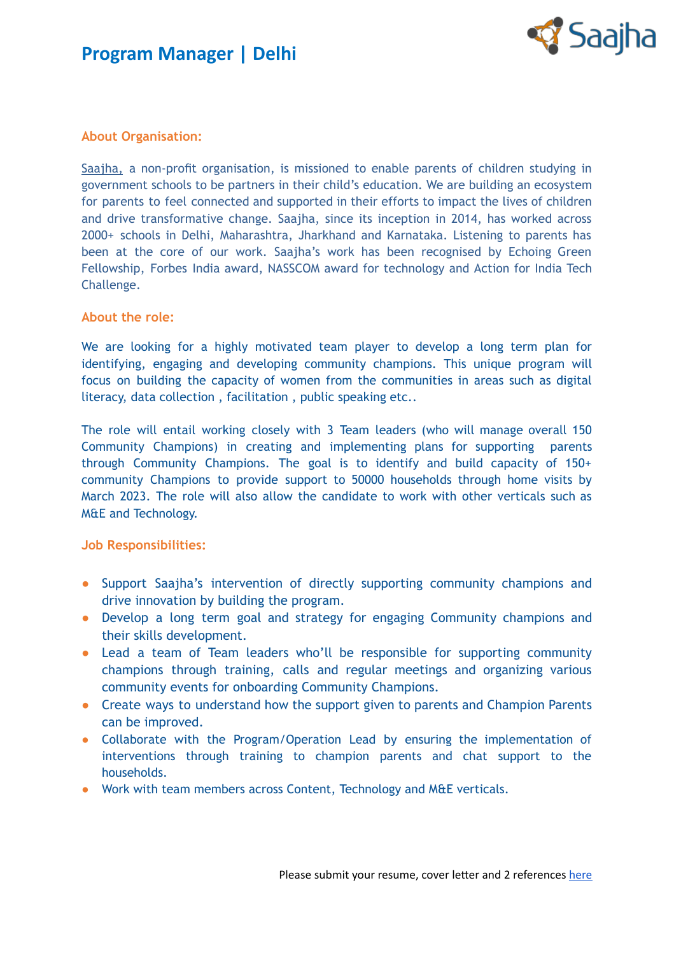



#### **About Organisation:**

[Saajha,](http://saajha.org/) a non-profit organisation, is missioned to enable parents of children studying in government schools to be partners in their child's education. We are building an ecosystem for parents to feel connected and supported in their efforts to impact the lives of children and drive transformative change. Saajha, since its inception in 2014, has worked across 2000+ schools in Delhi, Maharashtra, Jharkhand and Karnataka. Listening to parents has been at the core of our work. Saajha's work has been recognised by Echoing Green Fellowship, Forbes India award, NASSCOM award for technology and Action for India Tech Challenge.

#### **About the role:**

We are looking for a highly motivated team player to develop a long term plan for identifying, engaging and developing community champions. This unique program will focus on building the capacity of women from the communities in areas such as digital literacy, data collection , facilitation , public speaking etc..

The role will entail working closely with 3 Team leaders (who will manage overall 150 Community Champions) in creating and implementing plans for supporting parents through Community Champions. The goal is to identify and build capacity of 150+ community Champions to provide support to 50000 households through home visits by March 2023. The role will also allow the candidate to work with other verticals such as M&E and Technology.

#### **Job Responsibilities:**

- Support Saajha's intervention of directly supporting community champions and drive innovation by building the program.
- Develop a long term goal and strategy for engaging Community champions and their skills development.
- Lead a team of Team leaders who'll be responsible for supporting community champions through training, calls and regular meetings and organizing various community events for onboarding Community Champions.
- Create ways to understand how the support given to parents and Champion Parents can be improved.
- Collaborate with the Program/Operation Lead by ensuring the implementation of interventions through training to champion parents and chat support to the households.
- Work with team members across Content, Technology and M&E verticals.